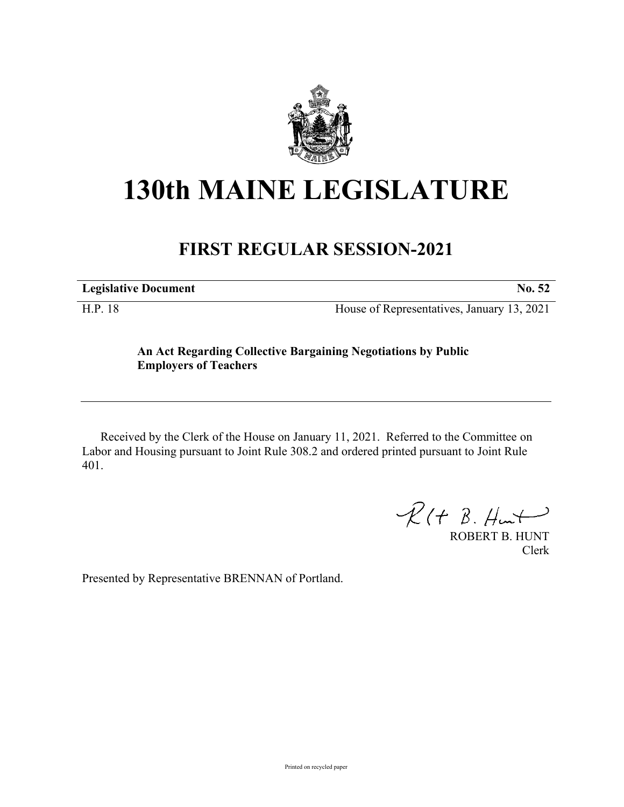

## **130th MAINE LEGISLATURE**

## **FIRST REGULAR SESSION-2021**

**Legislative Document No. 52**

H.P. 18 House of Representatives, January 13, 2021

## **An Act Regarding Collective Bargaining Negotiations by Public Employers of Teachers**

Received by the Clerk of the House on January 11, 2021. Referred to the Committee on Labor and Housing pursuant to Joint Rule 308.2 and ordered printed pursuant to Joint Rule 401.

 $R(H B. H<sub>un</sub>+)$ 

ROBERT B. HUNT Clerk

Presented by Representative BRENNAN of Portland.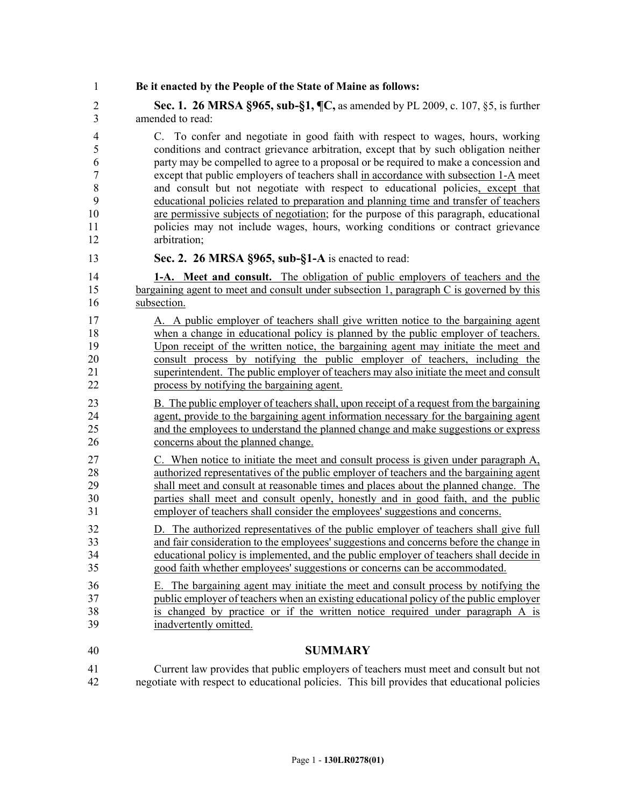1 **Be it enacted by the People of the State of Maine as follows:**

2 **Sec. 1. 26 MRSA §965, sub-§1, ¶C,** as amended by PL 2009, c. 107, §5, is further 3 amended to read:

4 C. To confer and negotiate in good faith with respect to wages, hours, working 5 conditions and contract grievance arbitration, except that by such obligation neither 6 party may be compelled to agree to a proposal or be required to make a concession and 7 except that public employers of teachers shall in accordance with subsection 1-A meet 8 and consult but not negotiate with respect to educational policies, except that 9 educational policies related to preparation and planning time and transfer of teachers 10 are permissive subjects of negotiation; for the purpose of this paragraph, educational 11 policies may not include wages, hours, working conditions or contract grievance 12 arbitration;

13 **Sec. 2. 26 MRSA §965, sub-§1-A** is enacted to read:

14 **1-A. Meet and consult.** The obligation of public employers of teachers and the 15 bargaining agent to meet and consult under subsection 1, paragraph C is governed by this 16 subsection.

17 A. A public employer of teachers shall give written notice to the bargaining agent 18 when a change in educational policy is planned by the public employer of teachers. 19 Upon receipt of the written notice, the bargaining agent may initiate the meet and 20 consult process by notifying the public employer of teachers, including the 21 superintendent. The public employer of teachers may also initiate the meet and consult 22 process by notifying the bargaining agent.

23 B. The public employer of teachers shall, upon receipt of a request from the bargaining 24 agent, provide to the bargaining agent information necessary for the bargaining agent 25 and the employees to understand the planned change and make suggestions or express 26 concerns about the planned change.

27 C. When notice to initiate the meet and consult process is given under paragraph A, 28 authorized representatives of the public employer of teachers and the bargaining agent 29 shall meet and consult at reasonable times and places about the planned change. The 30 parties shall meet and consult openly, honestly and in good faith, and the public 31 employer of teachers shall consider the employees' suggestions and concerns.

32 D. The authorized representatives of the public employer of teachers shall give full 33 and fair consideration to the employees' suggestions and concerns before the change in 34 educational policy is implemented, and the public employer of teachers shall decide in 35 good faith whether employees' suggestions or concerns can be accommodated.

36 E. The bargaining agent may initiate the meet and consult process by notifying the 37 public employer of teachers when an existing educational policy of the public employer 38 is changed by practice or if the written notice required under paragraph A is 39 inadvertently omitted.

## 40 **SUMMARY**

41 Current law provides that public employers of teachers must meet and consult but not 42 negotiate with respect to educational policies. This bill provides that educational policies